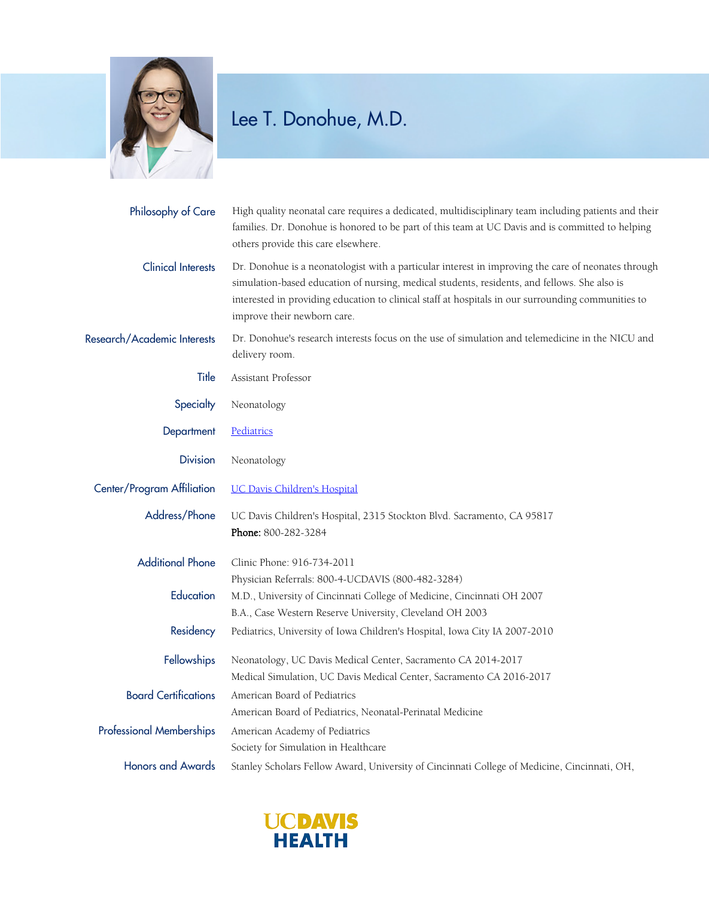

## Lee T. Donohue, M.D.

| Philosophy of Care              | High quality neonatal care requires a dedicated, multidisciplinary team including patients and their<br>families. Dr. Donohue is honored to be part of this team at UC Davis and is committed to helping<br>others provide this care elsewhere.                                                                                          |
|---------------------------------|------------------------------------------------------------------------------------------------------------------------------------------------------------------------------------------------------------------------------------------------------------------------------------------------------------------------------------------|
| <b>Clinical Interests</b>       | Dr. Donohue is a neonatologist with a particular interest in improving the care of neonates through<br>simulation-based education of nursing, medical students, residents, and fellows. She also is<br>interested in providing education to clinical staff at hospitals in our surrounding communities to<br>improve their newborn care. |
| Research/Academic Interests     | Dr. Donohue's research interests focus on the use of simulation and telemedicine in the NICU and<br>delivery room.                                                                                                                                                                                                                       |
| Title                           | Assistant Professor                                                                                                                                                                                                                                                                                                                      |
| Specialty                       | Neonatology                                                                                                                                                                                                                                                                                                                              |
| Department                      | Pediatrics                                                                                                                                                                                                                                                                                                                               |
| <b>Division</b>                 | Neonatology                                                                                                                                                                                                                                                                                                                              |
| Center/Program Affiliation      | <b>UC Davis Children's Hospital</b>                                                                                                                                                                                                                                                                                                      |
| Address/Phone                   | UC Davis Children's Hospital, 2315 Stockton Blvd. Sacramento, CA 95817<br>Phone: 800-282-3284                                                                                                                                                                                                                                            |
| <b>Additional Phone</b>         | Clinic Phone: 916-734-2011<br>Physician Referrals: 800-4-UCDAVIS (800-482-3284)                                                                                                                                                                                                                                                          |
| Education                       | M.D., University of Cincinnati College of Medicine, Cincinnati OH 2007<br>B.A., Case Western Reserve University, Cleveland OH 2003                                                                                                                                                                                                       |
| Residency                       | Pediatrics, University of Iowa Children's Hospital, Iowa City IA 2007-2010                                                                                                                                                                                                                                                               |
| Fellowships                     | Neonatology, UC Davis Medical Center, Sacramento CA 2014-2017<br>Medical Simulation, UC Davis Medical Center, Sacramento CA 2016-2017                                                                                                                                                                                                    |
| <b>Board Certifications</b>     | American Board of Pediatrics<br>American Board of Pediatrics, Neonatal-Perinatal Medicine                                                                                                                                                                                                                                                |
| <b>Professional Memberships</b> | American Academy of Pediatrics<br>Society for Simulation in Healthcare                                                                                                                                                                                                                                                                   |
| <b>Honors and Awards</b>        | Stanley Scholars Fellow Award, University of Cincinnati College of Medicine, Cincinnati, OH,                                                                                                                                                                                                                                             |